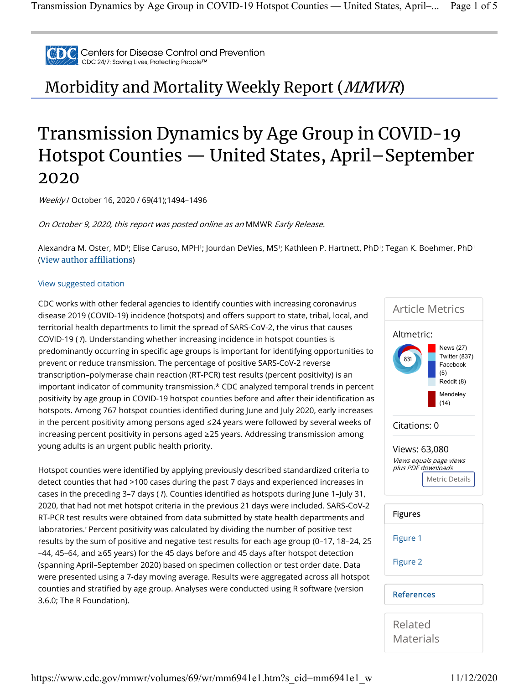

Centers for Disease Control and Prevention CDC 24/7: Saving Lives, Protecting People™

Morbidity and Mortality Weekly Report (MMWR)

## Transmission Dynamics by Age Group in COVID-19 Hotspot Counties — United States, April–September 2020

Weekly / October 16, 2020 / 69(41);1494–1496

On October 9, 2020, this report was posted online as an MMWR Early Release.

Alexandra M. Oster, MD'; Elise Caruso, MPH'; Jourdan DeVies, MS'; Kathleen P. Hartnett, PhD'; Tegan K. Boehmer, PhD' (View author affiliations)

## View suggested citation

CDC works with other federal agencies to identify counties with increasing coronavirus disease 2019 (COVID-19) incidence (hotspots) and offers support to state, tribal, local, and territorial health departments to limit the spread of SARS-CoV-2, the virus that causes COVID-19 (1). Understanding whether increasing incidence in hotspot counties is predominantly occurring in specific age groups is important for identifying opportunities to prevent or reduce transmission. The percentage of positive SARS-CoV-2 reverse transcription–polymerase chain reaction (RT-PCR) test results (percent positivity) is an important indicator of community transmission.\* CDC analyzed temporal trends in percent positivity by age group in COVID-19 hotspot counties before and after their identification as hotspots. Among 767 hotspot counties identified during June and July 2020, early increases in the percent positivity among persons aged ≤24 years were followed by several weeks of increasing percent positivity in persons aged ≥25 years. Addressing transmission among young adults is an urgent public health priority.

Hotspot counties were identified by applying previously described standardized criteria to detect counties that had >100 cases during the past 7 days and experienced increases in cases in the preceding 3-7 days (1). Counties identified as hotspots during June 1-July 31, 2020, that had not met hotspot criteria in the previous 21 days were included. SARS-CoV-2 RT-PCR test results were obtained from data submitted by state health departments and laboratories.† Percent positivity was calculated by dividing the number of positive test results by the sum of positive and negative test results for each age group (0–17, 18–24, 25 –44, 45–64, and ≥65 years) for the 45 days before and 45 days after hotspot detection (spanning April–September 2020) based on specimen collection or test order date. Data were presented using a 7-day moving average. Results were aggregated across all hotspot counties and stratified by age group. Analyses were conducted using R software (version 3.6.0; The R Foundation).



Related **Materials**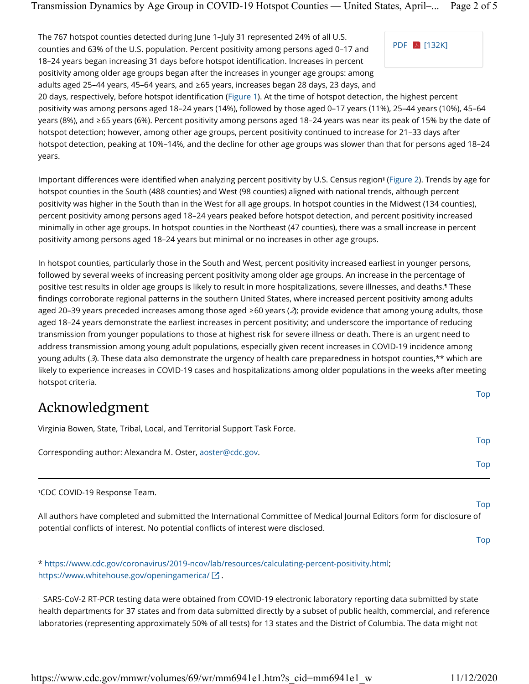The 767 hotspot counties detected during June 1–July 31 represented 24% of all U.S. counties and 63% of the U.S. population. Percent positivity among persons aged 0–17 and 18–24 years began increasing 31 days before hotspot identification. Increases in percent positivity among older age groups began after the increases in younger age groups: among adults aged 25–44 years, 45–64 years, and ≥65 years, increases began 28 days, 23 days, and



20 days, respectively, before hotspot identification (Figure 1). At the time of hotspot detection, the highest percent positivity was among persons aged 18–24 years (14%), followed by those aged 0–17 years (11%), 25–44 years (10%), 45–64 years (8%), and ≥65 years (6%). Percent positivity among persons aged 18–24 years was near its peak of 15% by the date of hotspot detection; however, among other age groups, percent positivity continued to increase for 21–33 days after hotspot detection, peaking at 10%–14%, and the decline for other age groups was slower than that for persons aged 18–24 years.

lmportant differences were identified when analyzing percent positivity by U.S. Census region§ (Figure 2). Trends by age for hotspot counties in the South (488 counties) and West (98 counties) aligned with national trends, although percent positivity was higher in the South than in the West for all age groups. In hotspot counties in the Midwest (134 counties), percent positivity among persons aged 18–24 years peaked before hotspot detection, and percent positivity increased minimally in other age groups. In hotspot counties in the Northeast (47 counties), there was a small increase in percent positivity among persons aged 18–24 years but minimal or no increases in other age groups.

In hotspot counties, particularly those in the South and West, percent positivity increased earliest in younger persons, followed by several weeks of increasing percent positivity among older age groups. An increase in the percentage of positive test results in older age groups is likely to result in more hospitalizations, severe illnesses, and deaths. These ¶ findings corroborate regional patterns in the southern United States, where increased percent positivity among adults aged 20–39 years preceded increases among those aged ≥60 years ( $2$ ); provide evidence that among young adults, those aged 18–24 years demonstrate the earliest increases in percent positivity; and underscore the importance of reducing transmission from younger populations to those at highest risk for severe illness or death. There is an urgent need to address transmission among young adult populations, especially given recent increases in COVID-19 incidence among young adults ( $3$ ). These data also demonstrate the urgency of health care preparedness in hotspot counties,\*\* which are likely to experience increases in COVID-19 cases and hospitalizations among older populations in the weeks after meeting hotspot criteria.

## Acknowledgment

Virginia Bowen, State, Tribal, Local, and Territorial Support Task Force.

|                                                           | <b>IUD</b> |
|-----------------------------------------------------------|------------|
| Corresponding author: Alexandra M. Oster, aoster@cdc.gov. |            |
|                                                           | Top        |

CDC COVID-19 Response Team. 1

All authors have completed and submitted the International Committee of Medical Journal Editors form for disclosure of potential conflicts of interest. No potential conflicts of interest were disclosed.

\* https://www.cdc.gov/coronavirus/2019-ncov/lab/resources/calculating-percent-positivity.html; https://www.whitehouse.gov/openingamerica/ $\boxtimes$ .

 $^\circ$  SARS-CoV-2 RT-PCR testing data were obtained from COVID-19 electronic laboratory reporting data submitted by state health departments for 37 states and from data submitted directly by a subset of public health, commercial, and reference laboratories (representing approximately 50% of all tests) for 13 states and the District of Columbia. The data might not

https://www.cdc.gov/mmwr/volumes/69/wr/mm6941e1.htm?s\_cid=mm6941e1\_w 11/12/2020

Top

Top

Top

Top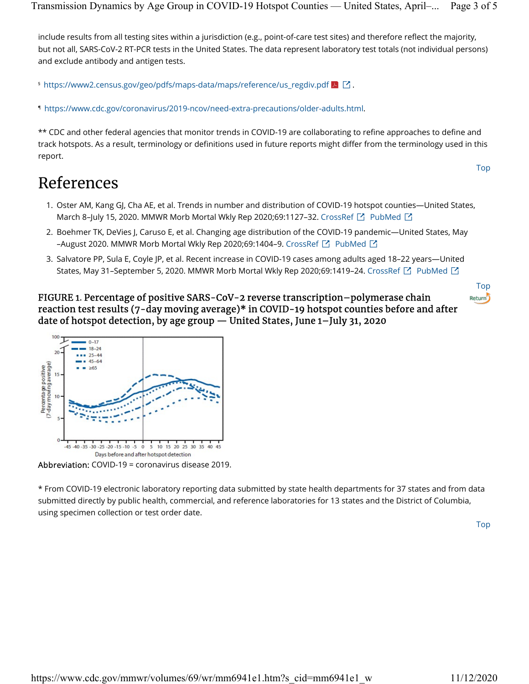include results from all testing sites within a jurisdiction (e.g., point-of-care test sites) and therefore reflect the majority, but not all, SARS-CoV-2 RT-PCR tests in the United States. The data represent laboratory test totals (not individual persons) and exclude antibody and antigen tests.

 $^{\mathsf{s}}$  https://www2.census.gov/geo/pdfs/maps-data/maps/reference/us\_regdiv.pdf  $\blacktriangleright$   $\boxdot$  .

https://www.cdc.gov/coronavirus/2019-ncov/need-extra-precautions/older-adults.html. ¶

\*\* CDC and other federal agencies that monitor trends in COVID-19 are collaborating to refine approaches to define and track hotspots. As a result, terminology or definitions used in future reports might differ from the terminology used in this report.

## References

- 1. Oster AM, Kang GJ, Cha AE, et al. Trends in number and distribution of COVID-19 hotspot counties—United States, March 8–July 15, 2020. MMWR Morb Mortal Wkly Rep 2020;69:1127–32. CrossRef  $\boxdot$  PubMed  $\boxdot$
- 2. Boehmer TK, DeVies J, Caruso E, et al. Changing age distribution of the COVID-19 pandemic—United States, May –August 2020. MMWR Morb Mortal Wkly Rep 2020;69:1404–9. CrossRef  $\boxdot$  PubMed  $\boxdot$
- 3. Salvatore PP, Sula E, Coyle JP, et al. Recent increase in COVID-19 cases among adults aged 18–22 years—United States, May 31–September 5, 2020. MMWR Morb Mortal Wkly Rep 2020;69:1419–24. <code>CrossRef</code>  $\boxdot$  <code>PubMed</code>  $\boxdot$

FIGURE 1. Percentage of positive SARS-CoV-2 reverse transcription–polymerase chain reaction test results (7-day moving average)\* in COVID-19 hotspot counties before and after date of hotspot detection, by age group — United States, June 1–July 31, 2020



\* From COVID-19 electronic laboratory reporting data submitted by state health departments for 37 states and from data submitted directly by public health, commercial, and reference laboratories for 13 states and the District of Columbia, using specimen collection or test order date.

Top

Top

Top

Return<sup>5</sup>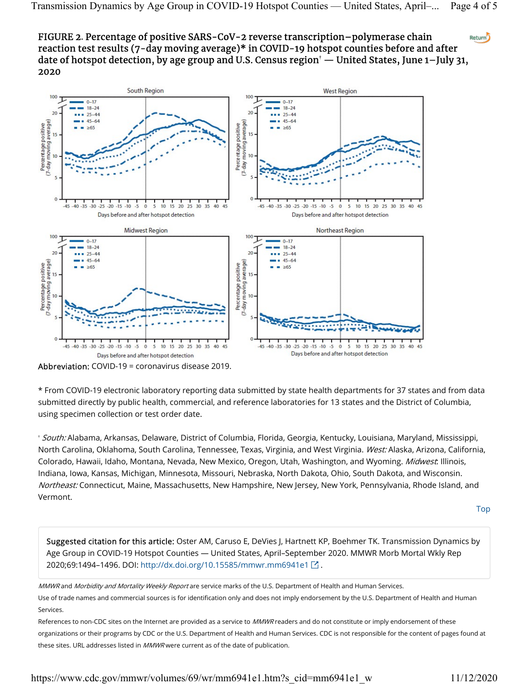FIGURE 2. Percentage of positive SARS-CoV-2 reverse transcription–polymerase chain Return<sup>5</sup> reaction test results (7-day moving average)\* in COVID-19 hotspot counties before and after date of hotspot detection, by age group and U.S. Census region $^\dagger$  — United States, June 1–July 31, 2020



Abbreviation: COVID-19 = coronavirus disease 2019.

\* From COVID-19 electronic laboratory reporting data submitted by state health departments for 37 states and from data submitted directly by public health, commercial, and reference laboratories for 13 states and the District of Columbia, using specimen collection or test order date.

† *South:* Alabama, Arkansas, Delaware, District of Columbia, Florida, Georgia, Kentucky, Louisiana, Maryland, Mississippi, North Carolina, Oklahoma, South Carolina, Tennessee, Texas, Virginia, and West Virginia. West: Alaska, Arizona, California, Colorado, Hawaii, Idaho, Montana, Nevada, New Mexico, Oregon, Utah, Washington, and Wyoming. Midwest: Illinois, Indiana, Iowa, Kansas, Michigan, Minnesota, Missouri, Nebraska, North Dakota, Ohio, South Dakota, and Wisconsin. Northeast: Connecticut, Maine, Massachusetts, New Hampshire, New Jersey, New York, Pennsylvania, Rhode Island, and Vermont.

Top

Suggested citation for this article: Oster AM, Caruso E, DeVies J, Hartnett KP, Boehmer TK. Transmission Dynamics by Age Group in COVID-19 Hotspot Counties — United States, April–September 2020. MMWR Morb Mortal Wkly Rep 2020;69:1494-1496. DOI: http://dx.doi.org/10.15585/mmwr.mm6941e1 <sup>2</sup>.

MMWR and Morbidity and Mortality Weekly Report are service marks of the U.S. Department of Health and Human Services.

Use of trade names and commercial sources is for identification only and does not imply endorsement by the U.S. Department of Health and Human Services.

References to non-CDC sites on the Internet are provided as a service to MMWR readers and do not constitute or imply endorsement of these organizations or their programs by CDC or the U.S. Department of Health and Human Services. CDC is not responsible for the content of pages found at these sites. URL addresses listed in  $MMWR$  were current as of the date of publication.